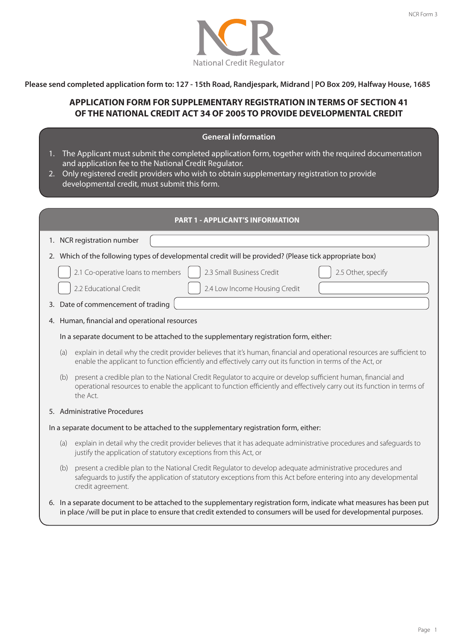

Please send completed application form to: 127 - 15th Road, Randjespark, Midrand | PO Box 209, Halfway House, 1685

## **APPLICATION FORM FOR SUPPLEMENTARY REGISTRATION IN TERMS OF SECTION 41 OF THE NATIONAL CREDIT ACT 34 OF 2005 TO PROVIDE DEVELOPMENTAL CREDIT**

| <b>General information</b>                                                                              |                                                                                                                                                                                                                                                                                                             |                                                                                                                                                                                                                                                        |  |  |  |  |  |
|---------------------------------------------------------------------------------------------------------|-------------------------------------------------------------------------------------------------------------------------------------------------------------------------------------------------------------------------------------------------------------------------------------------------------------|--------------------------------------------------------------------------------------------------------------------------------------------------------------------------------------------------------------------------------------------------------|--|--|--|--|--|
| 2.                                                                                                      | 1. The Applicant must submit the completed application form, together with the required documentation<br>and application fee to the National Credit Regulator.<br>Only registered credit providers who wish to obtain supplementary registration to provide<br>developmental credit, must submit this form. |                                                                                                                                                                                                                                                        |  |  |  |  |  |
|                                                                                                         |                                                                                                                                                                                                                                                                                                             |                                                                                                                                                                                                                                                        |  |  |  |  |  |
| <b>PART 1 - APPLICANT'S INFORMATION</b>                                                                 |                                                                                                                                                                                                                                                                                                             |                                                                                                                                                                                                                                                        |  |  |  |  |  |
|                                                                                                         | 1. NCR registration number                                                                                                                                                                                                                                                                                  |                                                                                                                                                                                                                                                        |  |  |  |  |  |
| 2. Which of the following types of developmental credit will be provided? (Please tick appropriate box) |                                                                                                                                                                                                                                                                                                             |                                                                                                                                                                                                                                                        |  |  |  |  |  |
|                                                                                                         |                                                                                                                                                                                                                                                                                                             | 2.1 Co-operative loans to members<br>2.3 Small Business Credit<br>2.5 Other, specify                                                                                                                                                                   |  |  |  |  |  |
|                                                                                                         |                                                                                                                                                                                                                                                                                                             | 2.2 Educational Credit<br>2.4 Low Income Housing Credit                                                                                                                                                                                                |  |  |  |  |  |
|                                                                                                         | 3. Date of commencement of trading                                                                                                                                                                                                                                                                          |                                                                                                                                                                                                                                                        |  |  |  |  |  |
|                                                                                                         | 4. Human, financial and operational resources                                                                                                                                                                                                                                                               |                                                                                                                                                                                                                                                        |  |  |  |  |  |
|                                                                                                         | In a separate document to be attached to the supplementary registration form, either:                                                                                                                                                                                                                       |                                                                                                                                                                                                                                                        |  |  |  |  |  |
|                                                                                                         | (a)                                                                                                                                                                                                                                                                                                         | explain in detail why the credit provider believes that it's human, financial and operational resources are sufficient to<br>enable the applicant to function efficiently and effectively carry out its function in terms of the Act, or               |  |  |  |  |  |
|                                                                                                         | (b)                                                                                                                                                                                                                                                                                                         | present a credible plan to the National Credit Regulator to acquire or develop sufficient human, financial and<br>operational resources to enable the applicant to function efficiently and effectively carry out its function in terms of<br>the Act. |  |  |  |  |  |
|                                                                                                         | 5. Administrative Procedures                                                                                                                                                                                                                                                                                |                                                                                                                                                                                                                                                        |  |  |  |  |  |
|                                                                                                         |                                                                                                                                                                                                                                                                                                             | In a separate document to be attached to the supplementary registration form, either:                                                                                                                                                                  |  |  |  |  |  |
|                                                                                                         | (a)                                                                                                                                                                                                                                                                                                         | explain in detail why the credit provider believes that it has adequate administrative procedures and safeguards to<br>justify the application of statutory exceptions from this Act, or                                                               |  |  |  |  |  |
|                                                                                                         | (b)                                                                                                                                                                                                                                                                                                         | present a credible plan to the National Credit Regulator to develop adequate administrative procedures and<br>safeguards to justify the application of statutory exceptions from this Act before entering into any developmental<br>credit agreement.  |  |  |  |  |  |
|                                                                                                         | 6. In a separate document to be attached to the supplementary registration form, indicate what measures has been put<br>in place /will be put in place to ensure that credit extended to consumers will be used for developmental purposes.                                                                 |                                                                                                                                                                                                                                                        |  |  |  |  |  |